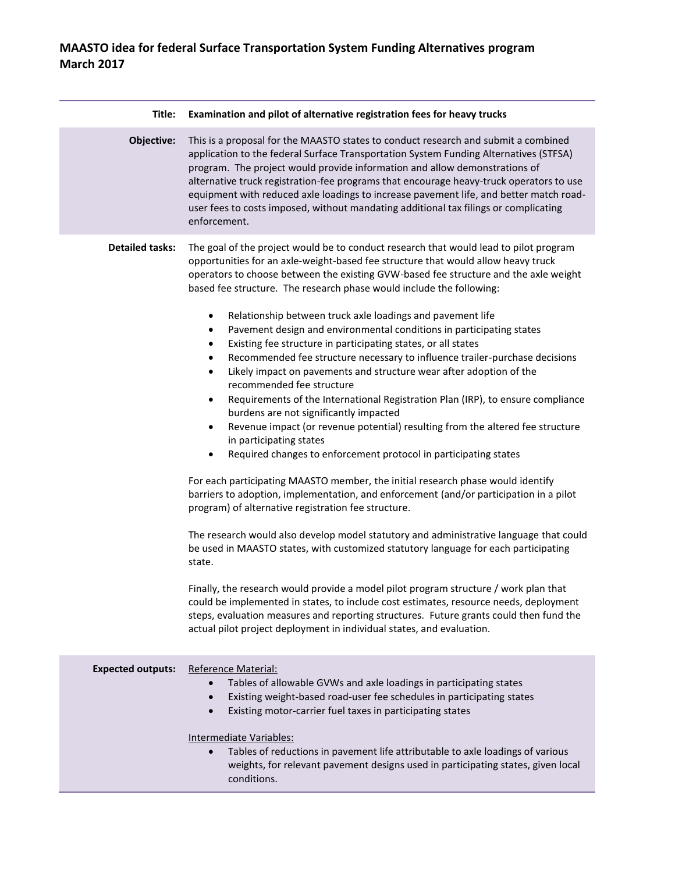## **MAASTO idea for federal Surface Transportation System Funding Alternatives program March 2017**

| Examination and pilot of alternative registration fees for heavy trucks                                                                                                                                                                                                                                                                                                                                                                                                                                                                                                                                                                                                                                                                                                                                                                                                                                                                                                                                                                                                                                                                                                                                                                                                                                                                                                                                                                                                                                                                                                                                                                                                                                                                                                                                                                                                                                       |
|---------------------------------------------------------------------------------------------------------------------------------------------------------------------------------------------------------------------------------------------------------------------------------------------------------------------------------------------------------------------------------------------------------------------------------------------------------------------------------------------------------------------------------------------------------------------------------------------------------------------------------------------------------------------------------------------------------------------------------------------------------------------------------------------------------------------------------------------------------------------------------------------------------------------------------------------------------------------------------------------------------------------------------------------------------------------------------------------------------------------------------------------------------------------------------------------------------------------------------------------------------------------------------------------------------------------------------------------------------------------------------------------------------------------------------------------------------------------------------------------------------------------------------------------------------------------------------------------------------------------------------------------------------------------------------------------------------------------------------------------------------------------------------------------------------------------------------------------------------------------------------------------------------------|
| This is a proposal for the MAASTO states to conduct research and submit a combined<br>application to the federal Surface Transportation System Funding Alternatives (STFSA)<br>program. The project would provide information and allow demonstrations of<br>alternative truck registration-fee programs that encourage heavy-truck operators to use<br>equipment with reduced axle loadings to increase pavement life, and better match road-<br>user fees to costs imposed, without mandating additional tax filings or complicating<br>enforcement.                                                                                                                                                                                                                                                                                                                                                                                                                                                                                                                                                                                                                                                                                                                                                                                                                                                                                                                                                                                                                                                                                                                                                                                                                                                                                                                                                        |
| The goal of the project would be to conduct research that would lead to pilot program<br>opportunities for an axle-weight-based fee structure that would allow heavy truck<br>operators to choose between the existing GVW-based fee structure and the axle weight<br>based fee structure. The research phase would include the following:<br>Relationship between truck axle loadings and pavement life<br>$\bullet$<br>Pavement design and environmental conditions in participating states<br>٠<br>Existing fee structure in participating states, or all states<br>$\bullet$<br>Recommended fee structure necessary to influence trailer-purchase decisions<br>$\bullet$<br>Likely impact on pavements and structure wear after adoption of the<br>$\bullet$<br>recommended fee structure<br>Requirements of the International Registration Plan (IRP), to ensure compliance<br>٠<br>burdens are not significantly impacted<br>Revenue impact (or revenue potential) resulting from the altered fee structure<br>٠<br>in participating states<br>Required changes to enforcement protocol in participating states<br>٠<br>For each participating MAASTO member, the initial research phase would identify<br>barriers to adoption, implementation, and enforcement (and/or participation in a pilot<br>program) of alternative registration fee structure.<br>The research would also develop model statutory and administrative language that could<br>be used in MAASTO states, with customized statutory language for each participating<br>state.<br>Finally, the research would provide a model pilot program structure / work plan that<br>could be implemented in states, to include cost estimates, resource needs, deployment<br>steps, evaluation measures and reporting structures. Future grants could then fund the<br>actual pilot project deployment in individual states, and evaluation. |
|                                                                                                                                                                                                                                                                                                                                                                                                                                                                                                                                                                                                                                                                                                                                                                                                                                                                                                                                                                                                                                                                                                                                                                                                                                                                                                                                                                                                                                                                                                                                                                                                                                                                                                                                                                                                                                                                                                               |
| Reference Material:<br>Tables of allowable GVWs and axle loadings in participating states<br>$\bullet$<br>Existing weight-based road-user fee schedules in participating states<br>$\bullet$<br>Existing motor-carrier fuel taxes in participating states<br>$\bullet$<br>Intermediate Variables:<br>Tables of reductions in pavement life attributable to axle loadings of various<br>$\bullet$<br>weights, for relevant pavement designs used in participating states, given local<br>conditions.                                                                                                                                                                                                                                                                                                                                                                                                                                                                                                                                                                                                                                                                                                                                                                                                                                                                                                                                                                                                                                                                                                                                                                                                                                                                                                                                                                                                           |
|                                                                                                                                                                                                                                                                                                                                                                                                                                                                                                                                                                                                                                                                                                                                                                                                                                                                                                                                                                                                                                                                                                                                                                                                                                                                                                                                                                                                                                                                                                                                                                                                                                                                                                                                                                                                                                                                                                               |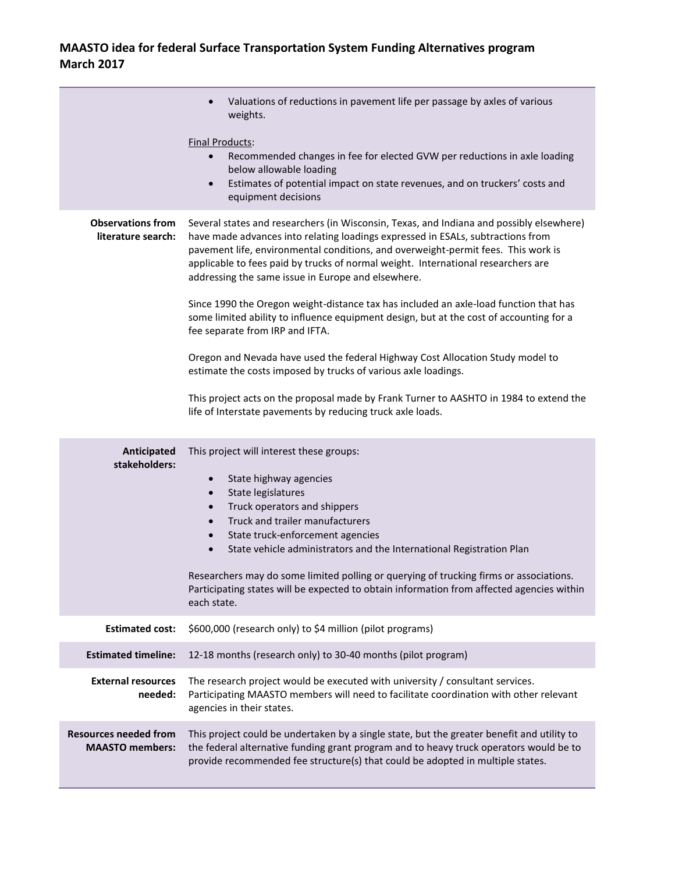## **MAASTO idea for federal Surface Transportation System Funding Alternatives program March 2017**

|                                                        | Valuations of reductions in pavement life per passage by axles of various<br>weights.                                                                                                                                                                                                                                                                                                                                                           |
|--------------------------------------------------------|-------------------------------------------------------------------------------------------------------------------------------------------------------------------------------------------------------------------------------------------------------------------------------------------------------------------------------------------------------------------------------------------------------------------------------------------------|
|                                                        | <b>Final Products:</b><br>Recommended changes in fee for elected GVW per reductions in axle loading<br>$\bullet$<br>below allowable loading<br>Estimates of potential impact on state revenues, and on truckers' costs and<br>$\bullet$<br>equipment decisions                                                                                                                                                                                  |
| <b>Observations from</b><br>literature search:         | Several states and researchers (in Wisconsin, Texas, and Indiana and possibly elsewhere)<br>have made advances into relating loadings expressed in ESALs, subtractions from<br>pavement life, environmental conditions, and overweight-permit fees. This work is<br>applicable to fees paid by trucks of normal weight. International researchers are<br>addressing the same issue in Europe and elsewhere.                                     |
|                                                        | Since 1990 the Oregon weight-distance tax has included an axle-load function that has<br>some limited ability to influence equipment design, but at the cost of accounting for a<br>fee separate from IRP and IFTA.                                                                                                                                                                                                                             |
|                                                        | Oregon and Nevada have used the federal Highway Cost Allocation Study model to<br>estimate the costs imposed by trucks of various axle loadings.                                                                                                                                                                                                                                                                                                |
|                                                        | This project acts on the proposal made by Frank Turner to AASHTO in 1984 to extend the<br>life of Interstate pavements by reducing truck axle loads.                                                                                                                                                                                                                                                                                            |
| Anticipated<br>stakeholders:                           | This project will interest these groups:<br>State highway agencies<br>$\bullet$<br>State legislatures<br>$\bullet$<br>Truck operators and shippers<br>$\bullet$<br>Truck and trailer manufacturers<br>$\bullet$<br>State truck-enforcement agencies<br>$\bullet$<br>State vehicle administrators and the International Registration Plan<br>$\bullet$<br>Researchers may do some limited polling or querying of trucking firms or associations. |
|                                                        | Participating states will be expected to obtain information from affected agencies within<br>each state.                                                                                                                                                                                                                                                                                                                                        |
| <b>Estimated cost:</b>                                 | \$600,000 (research only) to \$4 million (pilot programs)                                                                                                                                                                                                                                                                                                                                                                                       |
| <b>Estimated timeline:</b>                             | 12-18 months (research only) to 30-40 months (pilot program)                                                                                                                                                                                                                                                                                                                                                                                    |
| <b>External resources</b><br>needed:                   | The research project would be executed with university / consultant services.<br>Participating MAASTO members will need to facilitate coordination with other relevant<br>agencies in their states.                                                                                                                                                                                                                                             |
| <b>Resources needed from</b><br><b>MAASTO</b> members: | This project could be undertaken by a single state, but the greater benefit and utility to<br>the federal alternative funding grant program and to heavy truck operators would be to<br>provide recommended fee structure(s) that could be adopted in multiple states.                                                                                                                                                                          |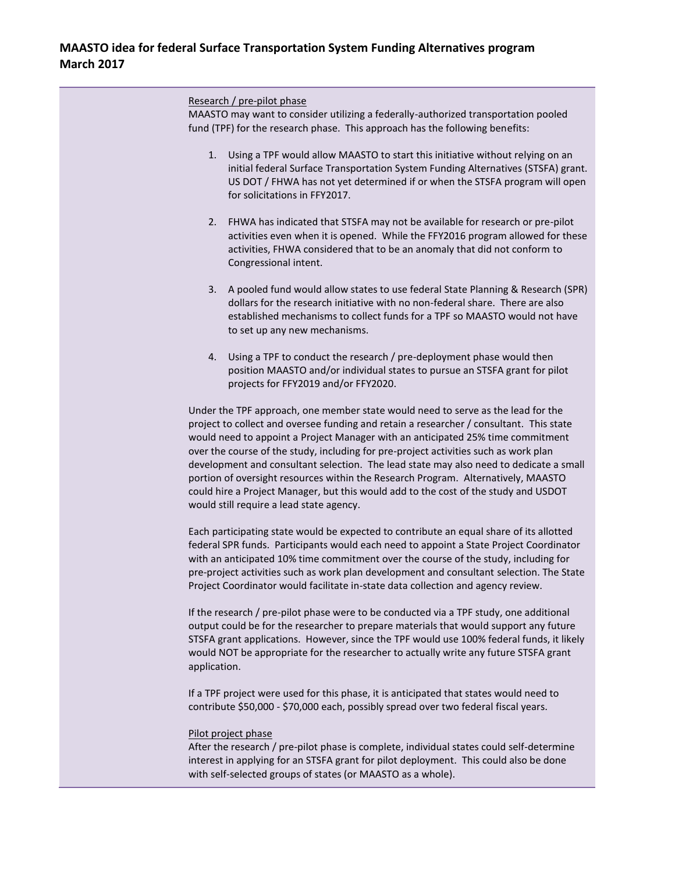Research / pre-pilot phase

MAASTO may want to consider utilizing a federally-authorized transportation pooled fund (TPF) for the research phase. This approach has the following benefits:

- 1. Using a TPF would allow MAASTO to start this initiative without relying on an initial federal Surface Transportation System Funding Alternatives (STSFA) grant. US DOT / FHWA has not yet determined if or when the STSFA program will open for solicitations in FFY2017.
- 2. FHWA has indicated that STSFA may not be available for research or pre-pilot activities even when it is opened. While the FFY2016 program allowed for these activities, FHWA considered that to be an anomaly that did not conform to Congressional intent.
- 3. A pooled fund would allow states to use federal State Planning & Research (SPR) dollars for the research initiative with no non-federal share. There are also established mechanisms to collect funds for a TPF so MAASTO would not have to set up any new mechanisms.
- 4. Using a TPF to conduct the research / pre-deployment phase would then position MAASTO and/or individual states to pursue an STSFA grant for pilot projects for FFY2019 and/or FFY2020.

Under the TPF approach, one member state would need to serve as the lead for the project to collect and oversee funding and retain a researcher / consultant. This state would need to appoint a Project Manager with an anticipated 25% time commitment over the course of the study, including for pre-project activities such as work plan development and consultant selection. The lead state may also need to dedicate a small portion of oversight resources within the Research Program. Alternatively, MAASTO could hire a Project Manager, but this would add to the cost of the study and USDOT would still require a lead state agency.

Each participating state would be expected to contribute an equal share of its allotted federal SPR funds. Participants would each need to appoint a State Project Coordinator with an anticipated 10% time commitment over the course of the study, including for pre-project activities such as work plan development and consultant selection. The State Project Coordinator would facilitate in-state data collection and agency review.

If the research / pre-pilot phase were to be conducted via a TPF study, one additional output could be for the researcher to prepare materials that would support any future STSFA grant applications. However, since the TPF would use 100% federal funds, it likely would NOT be appropriate for the researcher to actually write any future STSFA grant application.

If a TPF project were used for this phase, it is anticipated that states would need to contribute \$50,000 - \$70,000 each, possibly spread over two federal fiscal years.

## Pilot project phase

After the research / pre-pilot phase is complete, individual states could self-determine interest in applying for an STSFA grant for pilot deployment. This could also be done with self-selected groups of states (or MAASTO as a whole).